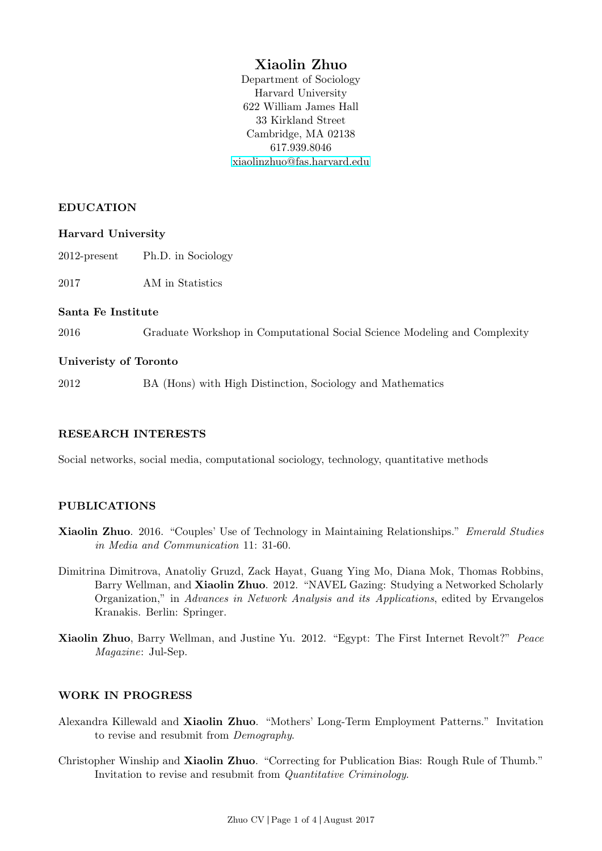# Xiaolin Zhuo

Department of Sociology Harvard University 622 William James Hall 33 Kirkland Street Cambridge, MA 02138 617.939.8046 [xiaolinzhuo@fas.harvard.edu](mailto:xiaolinzhuo@fas.harvard.edu)

#### EDUCATION

#### Harvard University

2012-present Ph.D. in Sociology

2017 AM in Statistics

#### Santa Fe Institute

2016 Graduate Workshop in Computational Social Science Modeling and Complexity

#### Univeristy of Toronto

2012 BA (Hons) with High Distinction, Sociology and Mathematics

## RESEARCH INTERESTS

Social networks, social media, computational sociology, technology, quantitative methods

## PUBLICATIONS

- Xiaolin Zhuo. 2016. "Couples' Use of Technology in Maintaining Relationships." Emerald Studies in Media and Communication 11: 31-60.
- Dimitrina Dimitrova, Anatoliy Gruzd, Zack Hayat, Guang Ying Mo, Diana Mok, Thomas Robbins, Barry Wellman, and Xiaolin Zhuo. 2012. "NAVEL Gazing: Studying a Networked Scholarly Organization," in Advances in Network Analysis and its Applications, edited by Ervangelos Kranakis. Berlin: Springer.
- Xiaolin Zhuo, Barry Wellman, and Justine Yu. 2012. "Egypt: The First Internet Revolt?" Peace Magazine: Jul-Sep.

## WORK IN PROGRESS

- Alexandra Killewald and Xiaolin Zhuo. "Mothers' Long-Term Employment Patterns." Invitation to revise and resubmit from Demography.
- Christopher Winship and Xiaolin Zhuo. "Correcting for Publication Bias: Rough Rule of Thumb." Invitation to revise and resubmit from Quantitative Criminology.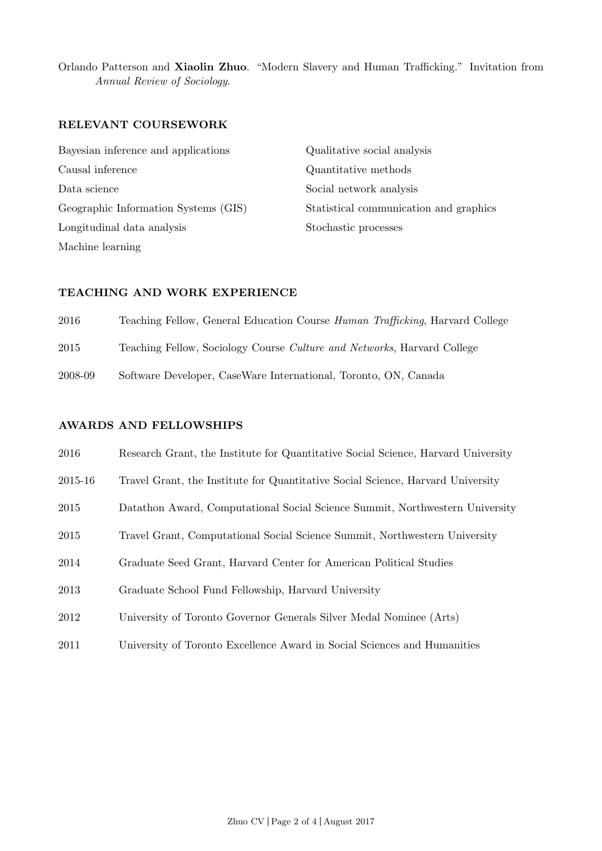Orlando Patterson and Xiaolin Zhuo. "Modern Slavery and Human Trafficking." Invitation from Annual Review of Sociology.

#### RELEVANT COURSEWORK

Bayesian inference and applications Causal inference Data science Geographic Information Systems (GIS) Longitudinal data analysis Machine learning

Qualitative social analysis Quantitative methods Social network analysis Statistical communication and graphics Stochastic processes

#### TEACHING AND WORK EXPERIENCE

2016 Teaching Fellow, General Education Course Human Trafficking, Harvard College

2015 Teaching Fellow, Sociology Course Culture and Networks, Harvard College

2008-09 Software Developer, CaseWare International, Toronto, ON, Canada

#### AWARDS AND FELLOWSHIPS

| 2016    | Research Grant, the Institute for Quantitative Social Science, Harvard University |
|---------|-----------------------------------------------------------------------------------|
| 2015-16 | Travel Grant, the Institute for Quantitative Social Science, Harvard University   |
| 2015    | Datathon Award, Computational Social Science Summit, Northwestern University      |
| 2015    | Travel Grant, Computational Social Science Summit, Northwestern University        |
| 2014    | Graduate Seed Grant, Harvard Center for American Political Studies                |
| 2013    | Graduate School Fund Fellowship, Harvard University                               |
| 2012    | University of Toronto Governor Generals Silver Medal Nominee (Arts)               |
| 2011    | University of Toronto Excellence Award in Social Sciences and Humanities          |
|         |                                                                                   |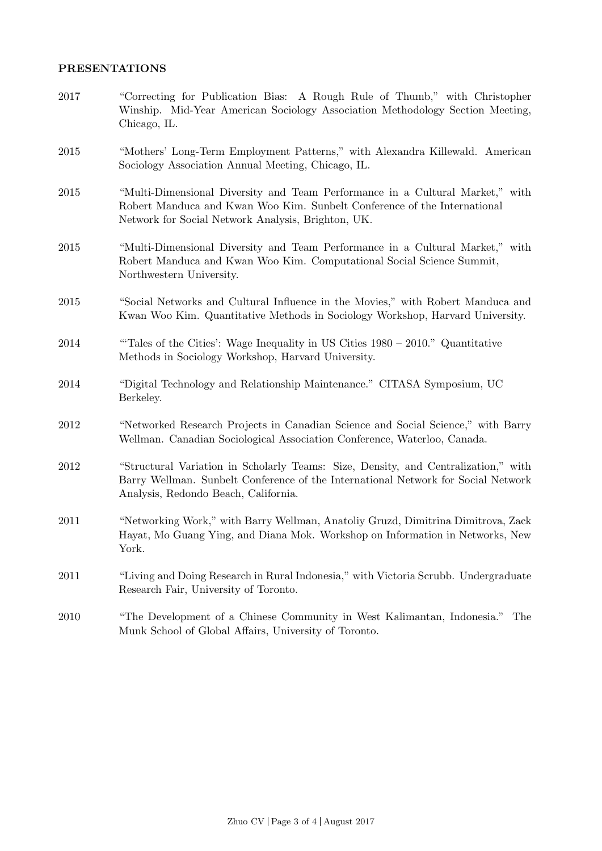#### PRESENTATIONS

- 2017 "Correcting for Publication Bias: A Rough Rule of Thumb," with Christopher Winship. Mid-Year American Sociology Association Methodology Section Meeting, Chicago, IL.
- 2015 "Mothers' Long-Term Employment Patterns," with Alexandra Killewald. American Sociology Association Annual Meeting, Chicago, IL.
- 2015 "Multi-Dimensional Diversity and Team Performance in a Cultural Market," with Robert Manduca and Kwan Woo Kim. Sunbelt Conference of the International Network for Social Network Analysis, Brighton, UK.
- 2015 "Multi-Dimensional Diversity and Team Performance in a Cultural Market," with Robert Manduca and Kwan Woo Kim. Computational Social Science Summit, Northwestern University.
- 2015 "Social Networks and Cultural Influence in the Movies," with Robert Manduca and Kwan Woo Kim. Quantitative Methods in Sociology Workshop, Harvard University.
- 2014 "'Tales of the Cities': Wage Inequality in US Cities 1980 2010." Quantitative Methods in Sociology Workshop, Harvard University.
- 2014 "Digital Technology and Relationship Maintenance." CITASA Symposium, UC Berkeley.
- 2012 "Networked Research Projects in Canadian Science and Social Science," with Barry Wellman. Canadian Sociological Association Conference, Waterloo, Canada.
- 2012 "Structural Variation in Scholarly Teams: Size, Density, and Centralization," with Barry Wellman. Sunbelt Conference of the International Network for Social Network Analysis, Redondo Beach, California.
- 2011 "Networking Work," with Barry Wellman, Anatoliy Gruzd, Dimitrina Dimitrova, Zack Hayat, Mo Guang Ying, and Diana Mok. Workshop on Information in Networks, New York.
- 2011 "Living and Doing Research in Rural Indonesia," with Victoria Scrubb. Undergraduate Research Fair, University of Toronto.
- 2010 "The Development of a Chinese Community in West Kalimantan, Indonesia." The Munk School of Global Affairs, University of Toronto.